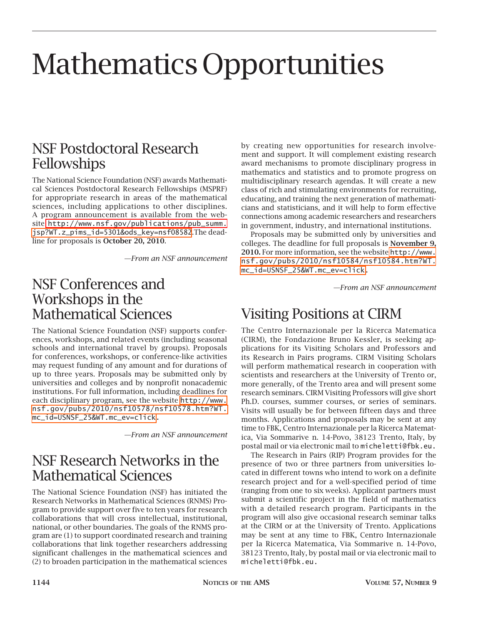# Mathematics Opportunities

## NSF Postdoctoral Research Fellowships

The National Science Foundation (NSF) awards Mathematical Sciences Postdoctoral Research Fellowships (MSPRF) for appropriate research in areas of the mathematical sciences, including applications to other disciplines. A program announcement is available from the website [http://www.nsf.gov/publications/pub\\_summ.](http://www.nsf.gov/publications/pub_summ) [jsp?WT.z\\_pims\\_id=5301&ods\\_key=nsf08582](http://www.nsf.gov/publications/pub-summ.jsp?WT.z_pims_id=5301&ods_key=nsf08582).The deadline for proposals is **October 20, 2010**.

*—From an NSF announcement*

## NSF Conferences and Workshops in the Mathematical Sciences

The National Science Foundation (NSF) supports conferences, workshops, and related events (including seasonal schools and international travel by groups). Proposals for conferences, workshops, or conference-like activities may request funding of any amount and for durations of up to three years. Proposals may be submitted only by universities and colleges and by nonprofit nonacademic institutions. For full information, including deadlines for each disciplinary program, see the website [http://www.](http://www.nsf.gov/pubs/2010/nsf10578/nsf10578.htm?WT.mc_id=USNSF_25&WT.mc_ev=click) [nsf.gov/pubs/2010/nsf10578/nsf10578.htm?WT.](http://www.nsf.gov/pubs/2010/nsf10578/nsf10578.htm?WT.mc_id=USNSF_25&WT.mc_ev=click) [mc\\_id=USNSF\\_25&WT.mc\\_ev=click.](http://www.nsf.gov/pubs/2010/nsf10578/nsf10578.htm?WT.mc_id=USNSF_25&WT.mc_ev=click)

*—From an NSF announcement*

# NSF Research Networks in the Mathematical Sciences

The National Science Foundation (NSF) has initiated the Research Networks in Mathematical Sciences (RNMS) Program to provide support over five to ten years for research collaborations that will cross intellectual, institutional, national, or other boundaries. The goals of the RNMS program are (1) to support coordinated research and training collaborations that link together researchers addressing significant challenges in the mathematical sciences and (2) to broaden participation in the mathematical sciences

by creating new opportunities for research involvement and support. It will complement existing research award mechanisms to promote disciplinary progress in mathematics and statistics and to promote progress on multidisciplinary research agendas. It will create a new class of rich and stimulating environments for recruiting, educating, and training the next generation of mathematicians and statisticians, and it will help to form effective connections among academic researchers and researchers in government, industry, and international institutions.

Proposals may be submitted only by universities and colleges. The deadline for full proposals is **November 9, 2010.** For more information, see the website [http://www.](http://www.nsf.gov/pubs/2010/nsf10584/nsf10584.htm?WT.mc_id=USNSF_25&WT.mc_ev=click) [nsf.gov/pubs/2010/nsf10584/nsf10584.htm?WT.](http://www.nsf.gov/pubs/2010/nsf10584/nsf10584.htm?WT.mc_id=USNSF_25&WT.mc_ev=click) [mc\\_id=USNSF\\_25&WT.mc\\_ev=click.](http://www.nsf.gov/pubs/2010/nsf10584/nsf10584.htm?WT.mc_id=USNSF_25&WT.mc_ev=click)

*—From an NSF announcement*

# Visiting Positions at CIRM

The Centro Internazionale per la Ricerca Matematica (CIRM), the Fondazione Bruno Kessler, is seeking applications for its Visiting Scholars and Professors and its Research in Pairs programs. CIRM Visiting Scholars will perform mathematical research in cooperation with scientists and researchers at the University of Trento or, more generally, of the Trento area and will present some research seminars. CIRM Visiting Professors will give short Ph.D. courses, summer courses, or series of seminars. Visits will usually be for between fifteen days and three months. Applications and proposals may be sent at any time to FBK, Centro Internazionale per la Ricerca Matematica, Via Sommarive n. 14-Povo, 38123 Trento, Italy, by postal mail or via electronic mail to micheletti@fbk.eu.

The Research in Pairs (RIP) Program provides for the presence of two or three partners from universities located in different towns who intend to work on a definite research project and for a well-specified period of time (ranging from one to six weeks). Applicant partners must submit a scientific project in the field of mathematics with a detailed research program. Participants in the program will also give occasional research seminar talks at the CIRM or at the University of Trento. Applications may be sent at any time to FBK, Centro Internazionale per la Ricerca Matematica, Via Sommarive n. 14-Povo, 38123 Trento, Italy, by postal mail or via electronic mail to micheletti@fbk.eu.